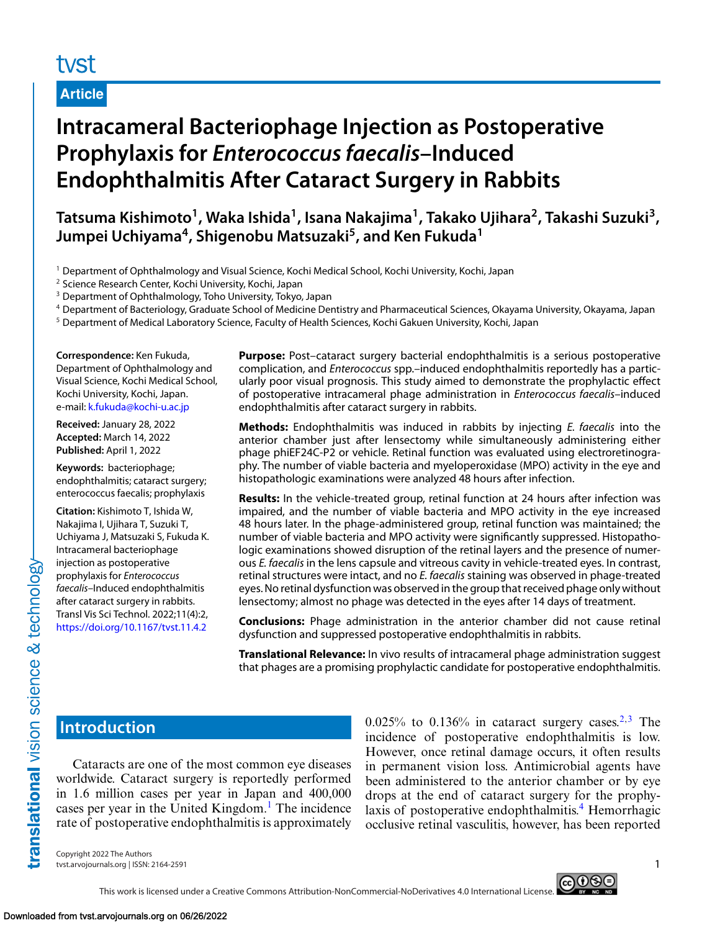# tyst

**Article**

# **Intracameral Bacteriophage Injection as Postoperative Prophylaxis for** *Enterococcus faecalis***–Induced Endophthalmitis After Cataract Surgery in Rabbits**

**Tatsuma Kishimoto1, Waka Ishida1, Isana Nakajima1, Takako Ujihara2, Takashi Suzuki3,** Jumpei Uchiyama<sup>4</sup>, Shigenobu Matsuzaki<sup>5</sup>, and Ken Fukuda<sup>1</sup>

<sup>1</sup> Department of Ophthalmology and Visual Science, Kochi Medical School, Kochi University, Kochi, Japan

<sup>2</sup> Science Research Center, Kochi University, Kochi, Japan

<sup>3</sup> Department of Ophthalmology, Toho University, Tokyo, Japan

<sup>4</sup> Department of Bacteriology, Graduate School of Medicine Dentistry and Pharmaceutical Sciences, Okayama University, Okayama, Japan

<sup>5</sup> Department of Medical Laboratory Science, Faculty of Health Sciences, Kochi Gakuen University, Kochi, Japan

**Correspondence:** Ken Fukuda, Department of Ophthalmology and Visual Science, Kochi Medical School, Kochi University, Kochi, Japan. e-mail: [k.fukuda@kochi-u.ac.jp](mailto:k.fukuda@kochi-u.ac.jp)

**Received:** January 28, 2022 **Accepted:** March 14, 2022 **Published:** April 1, 2022

**Keywords:** bacteriophage; endophthalmitis; cataract surgery; enterococcus faecalis; prophylaxis

**Citation:** Kishimoto T, Ishida W, Nakajima I, Ujihara T, Suzuki T, Uchiyama J, Matsuzaki S, Fukuda K. Intracameral bacteriophage injection as postoperative prophylaxis for *Enterococcus faecalis*–Induced endophthalmitis after cataract surgery in rabbits. Transl Vis Sci Technol. 2022;11(4):2, <https://doi.org/10.1167/tvst.11.4.2>

**Purpose:** Post–cataract surgery bacterial endophthalmitis is a serious postoperative complication, and *Enterococcus* spp.–induced endophthalmitis reportedly has a particularly poor visual prognosis. This study aimed to demonstrate the prophylactic effect of postoperative intracameral phage administration in *Enterococcus faecalis*–induced endophthalmitis after cataract surgery in rabbits.

**Methods:** Endophthalmitis was induced in rabbits by injecting *E. faecalis* into the anterior chamber just after lensectomy while simultaneously administering either phage phiEF24C-P2 or vehicle. Retinal function was evaluated using electroretinography. The number of viable bacteria and myeloperoxidase (MPO) activity in the eye and histopathologic examinations were analyzed 48 hours after infection.

**Results:** In the vehicle-treated group, retinal function at 24 hours after infection was impaired, and the number of viable bacteria and MPO activity in the eye increased 48 hours later. In the phage-administered group, retinal function was maintained; the number of viable bacteria and MPO activity were significantly suppressed. Histopathologic examinations showed disruption of the retinal layers and the presence of numerous *E. faecalis* in the lens capsule and vitreous cavity in vehicle-treated eyes. In contrast, retinal structures were intact, and no *E. faecalis* staining was observed in phage-treated eyes. No retinal dysfunction was observed in the group that received phage only without lensectomy; almost no phage was detected in the eyes after 14 days of treatment.

**Conclusions:** Phage administration in the anterior chamber did not cause retinal dysfunction and suppressed postoperative endophthalmitis in rabbits.

**Translational Relevance:** In vivo results of intracameral phage administration suggest that phages are a promising prophylactic candidate for postoperative endophthalmitis.

# **Introduction**

Cataracts are one of the most common eye diseases worldwide. Cataract surgery is reportedly performed in 1.6 million cases per year in Japan and 400,000 cases per year in the United Kingdom.<sup>1</sup> The incidence rate of postoperative endophthalmitis is approximately  $0.025\%$  to  $0.136\%$  in cataract surgery cases.<sup>[2,3](#page-6-0)</sup> The incidence of postoperative endophthalmitis is low. However, once retinal damage occurs, it often results in permanent vision loss. Antimicrobial agents have been administered to the anterior chamber or by eye drops at the end of cataract surgery for the prophylaxis of postoperative endophthalmitis.<sup>4</sup> Hemorrhagic occlusive retinal vasculitis, however, has been reported

Copyright 2022 The Authors tvst.arvojournals.org | ISSN: 2164-2591 1



# translational vision science & technology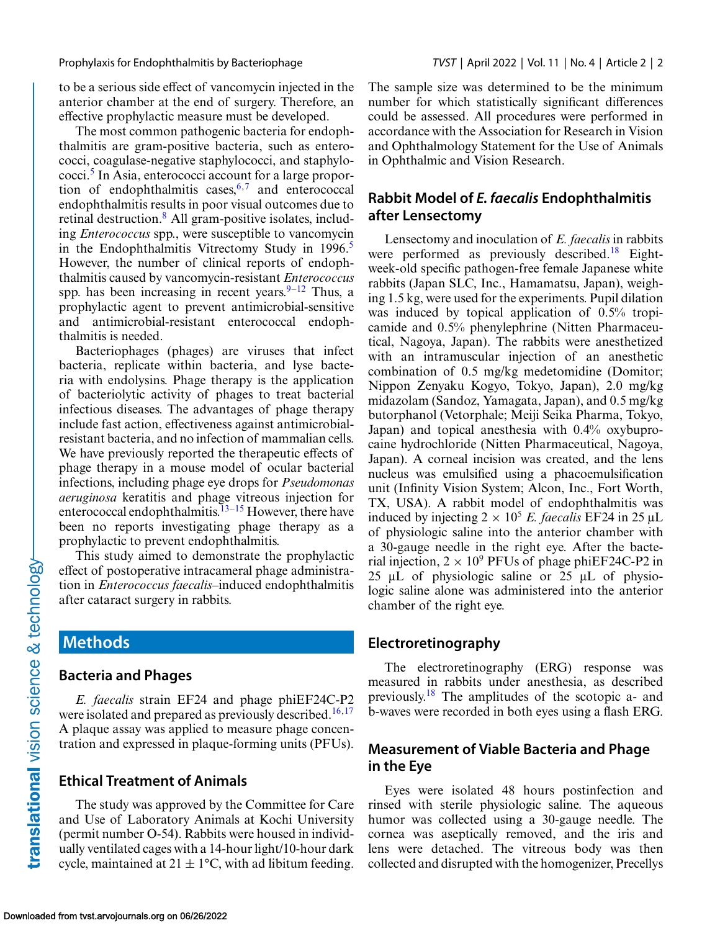to be a serious side effect of vancomycin injected in the anterior chamber at the end of surgery. Therefore, an effective prophylactic measure must be developed.

The most common pathogenic bacteria for endophthalmitis are gram-positive bacteria, such as enterococci, coagulase-negative staphylococci, and staphylococci.[5](#page-6-0) In Asia, enterococci account for a large proportion of endophthalmitis cases,  $6,7$  and enterococcal endophthalmitis results in poor visual outcomes due to retinal destruction.<sup>8</sup> All gram-positive isolates, including *Enterococcus* spp., were susceptible to vancomycin in the Endophthalmitis Vitrectomy Study in 1996.<sup>5</sup> However, the number of clinical reports of endophthalmitis caused by vancomycin-resistant *Enterococcus* spp. has been increasing in recent years.  $9-12$  Thus, a prophylactic agent to prevent antimicrobial-sensitive and antimicrobial-resistant enterococcal endophthalmitis is needed.

Bacteriophages (phages) are viruses that infect bacteria, replicate within bacteria, and lyse bacteria with endolysins. Phage therapy is the application of bacteriolytic activity of phages to treat bacterial infectious diseases. The advantages of phage therapy include fast action, effectiveness against antimicrobialresistant bacteria, and no infection of mammalian cells. We have previously reported the therapeutic effects of phage therapy in a mouse model of ocular bacterial infections, including phage eye drops for *Pseudomonas aeruginosa* keratitis and phage vitreous injection for enterococcal endophthalmitis.<sup>[13–](#page-6-0)[15](#page-7-0)</sup> However, there have been no reports investigating phage therapy as a prophylactic to prevent endophthalmitis.

This study aimed to demonstrate the prophylactic effect of postoperative intracameral phage administration in *Enterococcus faecalis*–induced endophthalmitis after cataract surgery in rabbits.

# **Methods**

### **Bacteria and Phages**

*E. faecalis* strain EF24 and phage phiEF24C-P2 were isolated and prepared as previously described.<sup>[16,17](#page-7-0)</sup> A plaque assay was applied to measure phage concentration and expressed in plaque-forming units (PFUs).

### **Ethical Treatment of Animals**

The study was approved by the Committee for Care and Use of Laboratory Animals at Kochi University (permit number O-54). Rabbits were housed in individually ventilated cages with a 14-hour light/10-hour dark cycle, maintained at  $21 \pm 1$ °C, with ad libitum feeding.

The sample size was determined to be the minimum number for which statistically significant differences could be assessed. All procedures were performed in accordance with the Association for Research in Vision and Ophthalmology Statement for the Use of Animals in Ophthalmic and Vision Research.

### **Rabbit Model of** *E. faecalis* **Endophthalmitis after Lensectomy**

Lensectomy and inoculation of *E. faecalis* in rabbits were performed as previously described.<sup>[18](#page-7-0)</sup> Eightweek-old specific pathogen-free female Japanese white rabbits (Japan SLC, Inc., Hamamatsu, Japan), weighing 1.5 kg, were used for the experiments. Pupil dilation was induced by topical application of 0.5% tropicamide and 0.5% phenylephrine (Nitten Pharmaceutical, Nagoya, Japan). The rabbits were anesthetized with an intramuscular injection of an anesthetic combination of 0.5 mg/kg medetomidine (Domitor; Nippon Zenyaku Kogyo, Tokyo, Japan), 2.0 mg/kg midazolam (Sandoz, Yamagata, Japan), and 0.5 mg/kg butorphanol (Vetorphale; Meiji Seika Pharma, Tokyo, Japan) and topical anesthesia with 0.4% oxybuprocaine hydrochloride (Nitten Pharmaceutical, Nagoya, Japan). A corneal incision was created, and the lens nucleus was emulsified using a phacoemulsification unit (Infinity Vision System; Alcon, Inc., Fort Worth, TX, USA). A rabbit model of endophthalmitis was induced by injecting  $2 \times 10^5$  *E. faecalis* EF24 in 25  $\mu$ L of physiologic saline into the anterior chamber with a 30-gauge needle in the right eye. After the bacterial injection,  $2 \times 10^9$  PFUs of phage phiEF24C-P2 in 25 μL of physiologic saline or 25 μL of physiologic saline alone was administered into the anterior chamber of the right eye.

### **Electroretinography**

The electroretinography (ERG) response was measured in rabbits under anesthesia, as described previously[.18](#page-7-0) The amplitudes of the scotopic a- and b-waves were recorded in both eyes using a flash ERG.

## **Measurement of Viable Bacteria and Phage in the Eye**

Eyes were isolated 48 hours postinfection and rinsed with sterile physiologic saline. The aqueous humor was collected using a 30-gauge needle. The cornea was aseptically removed, and the iris and lens were detached. The vitreous body was then collected and disrupted with the homogenizer, Precellys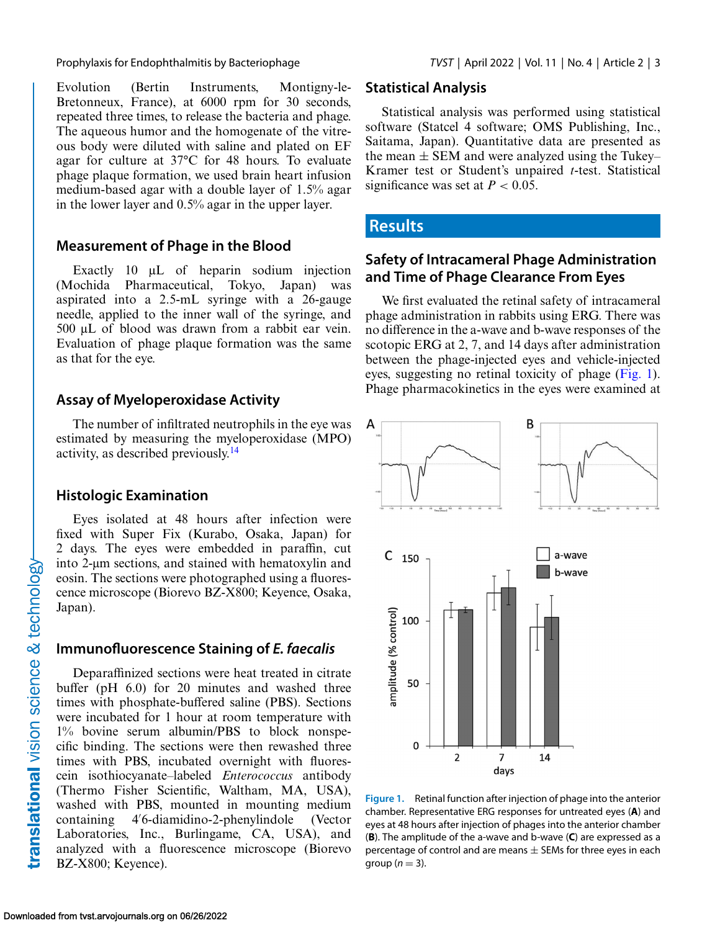Evolution (Bertin Instruments, Montigny-le-Bretonneux, France), at 6000 rpm for 30 seconds, repeated three times, to release the bacteria and phage. The aqueous humor and the homogenate of the vitreous body were diluted with saline and plated on EF agar for culture at 37°C for 48 hours. To evaluate phage plaque formation, we used brain heart infusion medium-based agar with a double layer of 1.5% agar in the lower layer and 0.5% agar in the upper layer.

### **Measurement of Phage in the Blood**

Exactly 10 μL of heparin sodium injection (Mochida Pharmaceutical, Tokyo, Japan) was aspirated into a 2.5-mL syringe with a 26-gauge needle, applied to the inner wall of the syringe, and 500 μL of blood was drawn from a rabbit ear vein. Evaluation of phage plaque formation was the same as that for the eye.

### **Assay of Myeloperoxidase Activity**

The number of infiltrated neutrophils in the eye was estimated by measuring the myeloperoxidase (MPO) activity, as described previously.[14](#page-6-0)

### **Histologic Examination**

Eyes isolated at 48 hours after infection were fixed with Super Fix (Kurabo, Osaka, Japan) for 2 days. The eyes were embedded in paraffin, cut into 2-μm sections, and stained with hematoxylin and eosin. The sections were photographed using a fluorescence microscope (Biorevo BZ-X800; Keyence, Osaka, Japan).

### **Immunofluorescence Staining of** *E. faecalis*

Deparaffinized sections were heat treated in citrate buffer (pH 6.0) for 20 minutes and washed three times with phosphate-buffered saline (PBS). Sections were incubated for 1 hour at room temperature with 1% bovine serum albumin/PBS to block nonspecific binding. The sections were then rewashed three times with PBS, incubated overnight with fluorescein isothiocyanate–labeled *Enterococcus* antibody (Thermo Fisher Scientific, Waltham, MA, USA), washed with PBS, mounted in mounting medium containing 4'6-diamidino-2-phenylindole (Vector Laboratories, Inc., Burlingame, CA, USA), and analyzed with a fluorescence microscope (Biorevo BZ-X800; Keyence).

### **Statistical Analysis**

Statistical analysis was performed using statistical software (Statcel 4 software; OMS Publishing, Inc., Saitama, Japan). Quantitative data are presented as the mean  $\pm$  SEM and were analyzed using the Tukey– Kramer test or Student's unpaired *t*-test. Statistical significance was set at  $P < 0.05$ .

### **Results**

### **Safety of Intracameral Phage Administration and Time of Phage Clearance From Eyes**

We first evaluated the retinal safety of intracameral phage administration in rabbits using ERG. There was no difference in the a-wave and b-wave responses of the scotopic ERG at 2, 7, and 14 days after administration between the phage-injected eyes and vehicle-injected eyes, suggesting no retinal toxicity of phage (Fig. 1). Phage pharmacokinetics in the eyes were examined at



**Figure 1.** Retinal function after injection of phage into the anterior chamber. Representative ERG responses for untreated eyes (**A**) and eyes at 48 hours after injection of phages into the anterior chamber (**B**). The amplitude of the a-wave and b-wave (**C**) are expressed as a percentage of control and are means  $\pm$  SEMs for three eyes in each group  $(n=3)$ .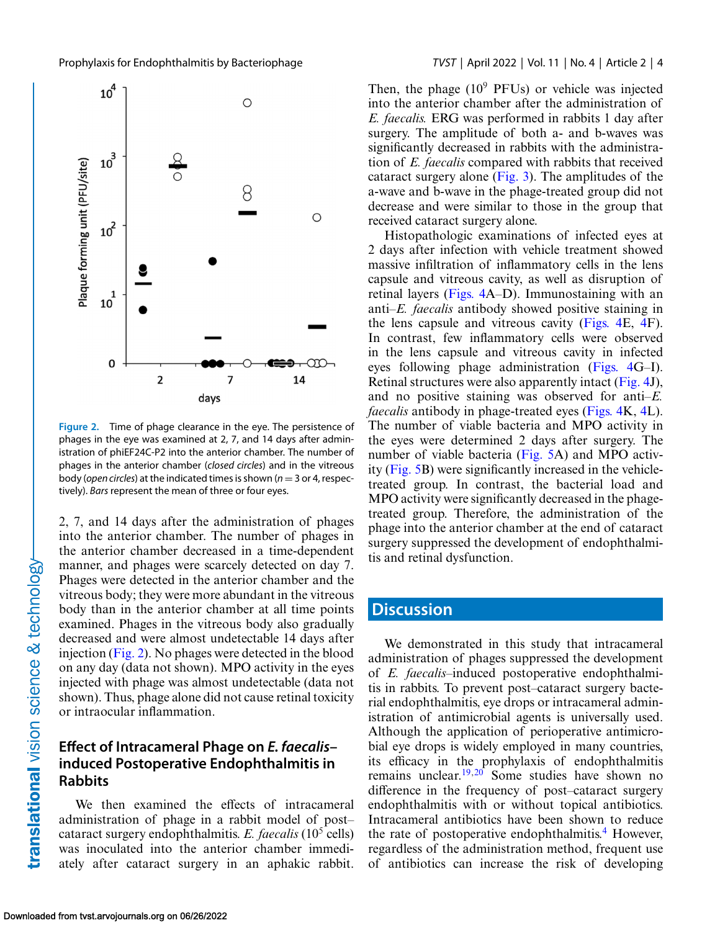

**Figure 2.** Time of phage clearance in the eye. The persistence of phages in the eye was examined at 2, 7, and 14 days after administration of phiEF24C-P2 into the anterior chamber. The number of phages in the anterior chamber (*closed circles*) and in the vitreous body (*open circles*) at the indicated times is shown (*<sup>n</sup>* <sup>=</sup> 3 or 4, respectively). *Bars* represent the mean of three or four eyes.

2, 7, and 14 days after the administration of phages into the anterior chamber. The number of phages in the anterior chamber decreased in a time-dependent manner, and phages were scarcely detected on day 7. Phages were detected in the anterior chamber and the vitreous body; they were more abundant in the vitreous body than in the anterior chamber at all time points examined. Phages in the vitreous body also gradually decreased and were almost undetectable 14 days after injection (Fig. 2). No phages were detected in the blood on any day (data not shown). MPO activity in the eyes injected with phage was almost undetectable (data not shown). Thus, phage alone did not cause retinal toxicity or intraocular inflammation.

### **Effect of Intracameral Phage on** *E. faecalis***– induced Postoperative Endophthalmitis in Rabbits**

We then examined the effects of intracameral administration of phage in a rabbit model of post– cataract surgery endophthalmitis. *E. faecalis* (10<sup>5</sup> cells) was inoculated into the anterior chamber immediately after cataract surgery in an aphakic rabbit. Then, the phage  $(10^9 \text{ PFLs})$  or vehicle was injected into the anterior chamber after the administration of *E. faecalis.* ERG was performed in rabbits 1 day after surgery. The amplitude of both a- and b-waves was significantly decreased in rabbits with the administration of *E. faecalis* compared with rabbits that received cataract surgery alone [\(Fig. 3\)](#page-4-0). The amplitudes of the a-wave and b-wave in the phage-treated group did not decrease and were similar to those in the group that received cataract surgery alone.

Histopathologic examinations of infected eyes at 2 days after infection with vehicle treatment showed massive infiltration of inflammatory cells in the lens capsule and vitreous cavity, as well as disruption of retinal layers [\(Figs. 4A](#page-5-0)–D). Immunostaining with an anti–*E. faecalis* antibody showed positive staining in the lens capsule and vitreous cavity [\(Figs. 4E](#page-5-0), [4F](#page-5-0)). In contrast, few inflammatory cells were observed in the lens capsule and vitreous cavity in infected eyes following phage administration [\(Figs. 4G](#page-5-0)–I). Retinal structures were also apparently intact [\(Fig. 4J](#page-5-0)), and no positive staining was observed for anti–*E. faecalis* antibody in phage-treated eyes [\(Figs. 4K](#page-5-0), [4L](#page-5-0)). The number of viable bacteria and MPO activity in the eyes were determined 2 days after surgery. The number of viable bacteria [\(Fig. 5A](#page-6-0)) and MPO activity [\(Fig. 5B](#page-6-0)) were significantly increased in the vehicletreated group. In contrast, the bacterial load and MPO activity were significantly decreased in the phagetreated group. Therefore, the administration of the phage into the anterior chamber at the end of cataract surgery suppressed the development of endophthalmitis and retinal dysfunction.

### **Discussion**

We demonstrated in this study that intracameral administration of phages suppressed the development of *E. faecalis*–induced postoperative endophthalmitis in rabbits. To prevent post–cataract surgery bacterial endophthalmitis, eye drops or intracameral administration of antimicrobial agents is universally used. Although the application of perioperative antimicrobial eye drops is widely employed in many countries, its efficacy in the prophylaxis of endophthalmitis remains unclear.<sup>[19,20](#page-7-0)</sup> Some studies have shown no difference in the frequency of post–cataract surgery endophthalmitis with or without topical antibiotics. Intracameral antibiotics have been shown to reduce the rate of postoperative endophthalmitis.<sup>[4](#page-6-0)</sup> However, regardless of the administration method, frequent use of antibiotics can increase the risk of developing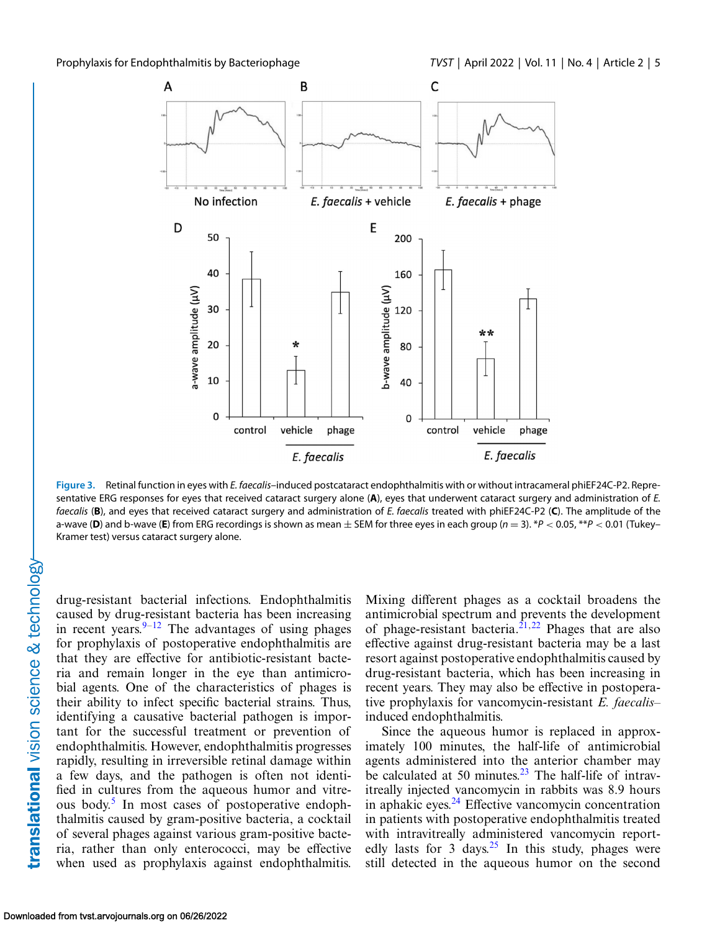<span id="page-4-0"></span>

**Figure 3.** Retinal function in eyes with *E. faecalis*–induced postcataract endophthalmitis with or without intracameral phiEF24C-P2. Representative ERG responses for eyes that received cataract surgery alone (**A**), eyes that underwent cataract surgery and administration of *E. faecalis* (**B**), and eyes that received cataract surgery and administration of *E. faecalis* treated with phiEF24C-P2 (**C**). The amplitude of the a-wave (D) and b-wave (E) from ERG recordings is shown as mean  $\pm$  SEM for three eyes in each group ( $n = 3$ ). \*P < 0.05, \*\*P < 0.01 (Tukey– Kramer test) versus cataract surgery alone.

drug-resistant bacterial infections. Endophthalmitis caused by drug-resistant bacteria has been increasing in recent years.  $9-12$  The advantages of using phages for prophylaxis of postoperative endophthalmitis are that they are effective for antibiotic-resistant bacteria and remain longer in the eye than antimicrobial agents. One of the characteristics of phages is their ability to infect specific bacterial strains. Thus, identifying a causative bacterial pathogen is important for the successful treatment or prevention of endophthalmitis. However, endophthalmitis progresses rapidly, resulting in irreversible retinal damage within a few days, and the pathogen is often not identified in cultures from the aqueous humor and vitreous body[.5](#page-6-0) In most cases of postoperative endophthalmitis caused by gram-positive bacteria, a cocktail of several phages against various gram-positive bacteria, rather than only enterococci, may be effective when used as prophylaxis against endophthalmitis.

Mixing different phages as a cocktail broadens the antimicrobial spectrum and prevents the development of phage-resistant bacteria. $2^{1,22}$  Phages that are also effective against drug-resistant bacteria may be a last resort against postoperative endophthalmitis caused by drug-resistant bacteria, which has been increasing in recent years. They may also be effective in postoperative prophylaxis for vancomycin-resistant *E. faecalis*– induced endophthalmitis.

Since the aqueous humor is replaced in approximately 100 minutes, the half-life of antimicrobial agents administered into the anterior chamber may be calculated at 50 minutes.<sup>[23](#page-7-0)</sup> The half-life of intravitreally injected vancomycin in rabbits was 8.9 hours in aphakic eyes. $24$  Effective vancomycin concentration in patients with postoperative endophthalmitis treated with intravitreally administered vancomycin reportedly lasts for 3 days.<sup>25</sup> In this study, phages were still detected in the aqueous humor on the second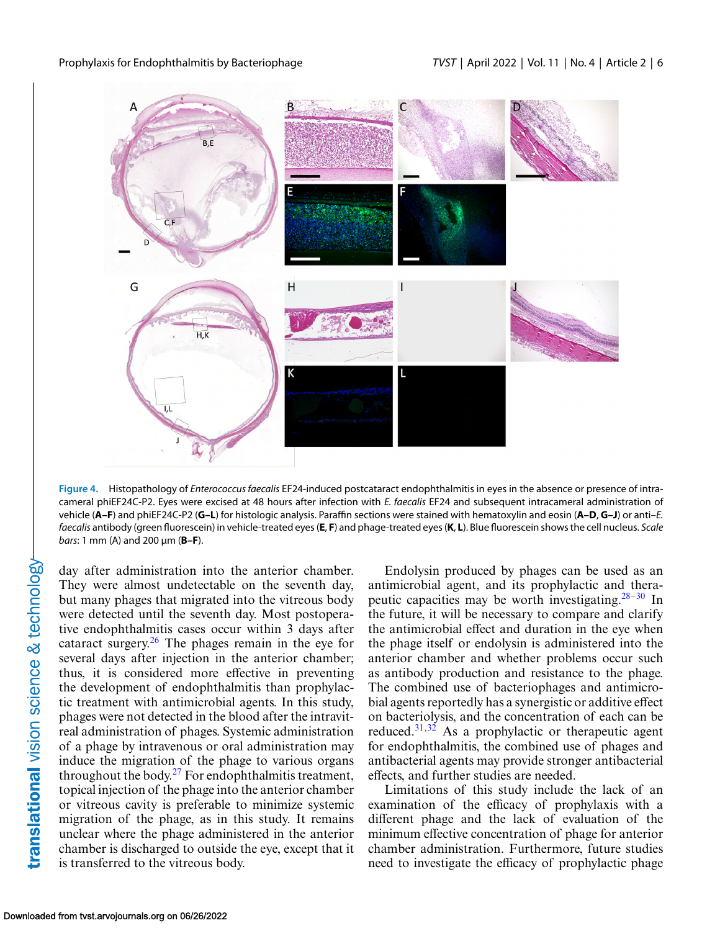<span id="page-5-0"></span>

**Figure 4.** Histopathology of *Enterococcus faecalis* EF24-induced postcataract endophthalmitis in eyes in the absence or presence of intracameral phiEF24C-P2. Eyes were excised at 48 hours after infection with *E. faecalis* EF24 and subsequent intracameral administration of vehicle (**A–F**) and phiEF24C-P2 (**G–L**) for histologic analysis. Paraffin sections were stained with hematoxylin and eosin (**A–D**, **G–J**) or anti–*E. faecalis* antibody (green fluorescein) in vehicle-treated eyes (**E**, **F**) and phage-treated eyes (**K**, **L**). Blue fluorescein shows the cell nucleus. *Scale bars*: 1 mm (A) and 200 μm (**B–F**).

day after administration into the anterior chamber. They were almost undetectable on the seventh day, but many phages that migrated into the vitreous body were detected until the seventh day. Most postoperative endophthalmitis cases occur within 3 days after cataract surgery.<sup>[26](#page-7-0)</sup> The phages remain in the eye for several days after injection in the anterior chamber; thus, it is considered more effective in preventing the development of endophthalmitis than prophylactic treatment with antimicrobial agents. In this study, phages were not detected in the blood after the intravitreal administration of phages. Systemic administration of a phage by intravenous or oral administration may induce the migration of the phage to various organs throughout the body. $27$  For endophthalmitis treatment, topical injection of the phage into the anterior chamber or vitreous cavity is preferable to minimize systemic migration of the phage, as in this study. It remains unclear where the phage administered in the anterior chamber is discharged to outside the eye, except that it is transferred to the vitreous body.

Endolysin produced by phages can be used as an antimicrobial agent, and its prophylactic and therapeutic capacities may be worth investigating. $28-30$  In the future, it will be necessary to compare and clarify the antimicrobial effect and duration in the eye when the phage itself or endolysin is administered into the anterior chamber and whether problems occur such as antibody production and resistance to the phage. The combined use of bacteriophages and antimicrobial agents reportedly has a synergistic or additive effect on bacteriolysis, and the concentration of each can be reduced.[31,32](#page-7-0) As a prophylactic or therapeutic agent for endophthalmitis, the combined use of phages and antibacterial agents may provide stronger antibacterial effects, and further studies are needed.

Limitations of this study include the lack of an examination of the efficacy of prophylaxis with a different phage and the lack of evaluation of the minimum effective concentration of phage for anterior chamber administration. Furthermore, future studies need to investigate the efficacy of prophylactic phage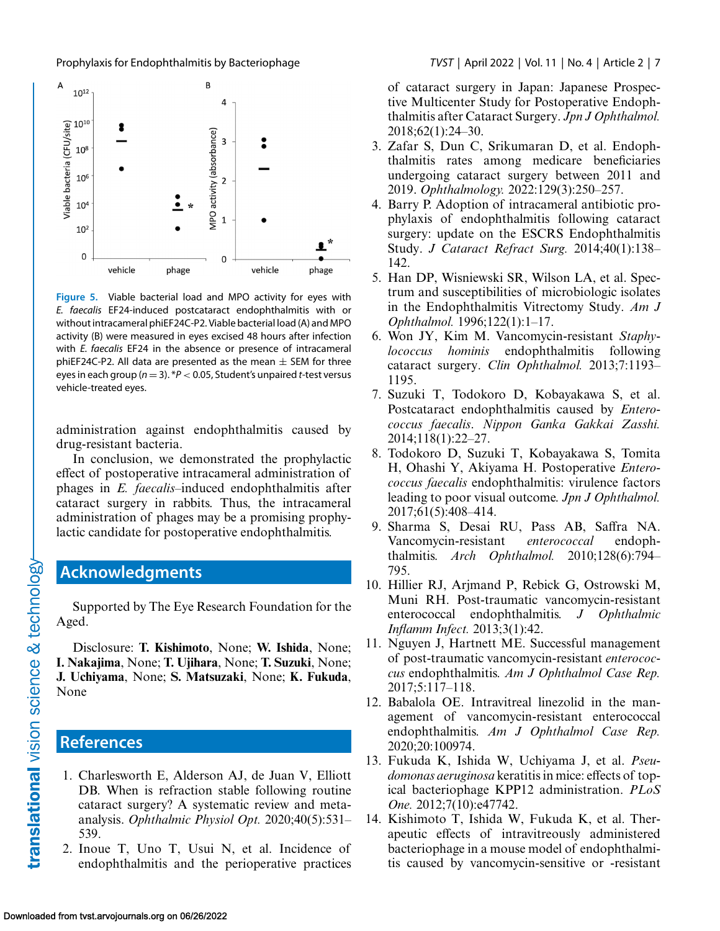<span id="page-6-0"></span>

**Figure 5.** Viable bacterial load and MPO activity for eyes with *E. faecalis* EF24-induced postcataract endophthalmitis with or without intracameral phiEF24C-P2. Viable bacterial load (A) and MPO activity (B) were measured in eyes excised 48 hours after infection with *E. faecalis* EF24 in the absence or presence of intracameral phiEF24C-P2. All data are presented as the mean  $\pm$  SEM for three eyes in each group (*<sup>n</sup>* <sup>=</sup> 3). \**<sup>P</sup>* <sup>&</sup>lt; 0.05, Student's unpaired *<sup>t</sup>*-test versus vehicle-treated eyes.

administration against endophthalmitis caused by drug-resistant bacteria.

In conclusion, we demonstrated the prophylactic effect of postoperative intracameral administration of phages in *E. faecalis*–induced endophthalmitis after cataract surgery in rabbits. Thus, the intracameral administration of phages may be a promising prophylactic candidate for postoperative endophthalmitis.

# **Acknowledgments**

Supported by The Eye Research Foundation for the Aged.

Disclosure: **T. Kishimoto**, None; **W. Ishida**, None; **I. Nakajima**, None; **T. Ujihara**, None; **T. Suzuki**, None; **J. Uchiyama**, None; **S. Matsuzaki**, None; **K. Fukuda**, None

# **References**

- 1. Charlesworth E, Alderson AJ, de Juan V, Elliott DB. When is refraction stable following routine cataract surgery? A systematic review and metaanalysis. *Ophthalmic Physiol Opt.* 2020;40(5):531– 539.
- 2. Inoue T, Uno T, Usui N, et al. Incidence of endophthalmitis and the perioperative practices

of cataract surgery in Japan: Japanese Prospective Multicenter Study for Postoperative Endophthalmitis after Cataract Surgery. *Jpn J Ophthalmol.* 2018;62(1):24–30.

- 3. Zafar S, Dun C, Srikumaran D, et al. Endophthalmitis rates among medicare beneficiaries undergoing cataract surgery between 2011 and 2019. *Ophthalmology.* 2022:129(3):250–257.
- 4. Barry P. Adoption of intracameral antibiotic prophylaxis of endophthalmitis following cataract surgery: update on the ESCRS Endophthalmitis Study. *J Cataract Refract Surg.* 2014;40(1):138– 142.
- 5. Han DP, Wisniewski SR, Wilson LA, et al. Spectrum and susceptibilities of microbiologic isolates in the Endophthalmitis Vitrectomy Study. *Am J Ophthalmol.* 1996;122(1):1–17.
- 6. Won JY, Kim M. Vancomycin-resistant *Staphylococcus hominis* endophthalmitis following cataract surgery. *Clin Ophthalmol.* 2013;7:1193– 1195.
- 7. Suzuki T, Todokoro D, Kobayakawa S, et al. Postcataract endophthalmitis caused by *Enterococcus faecalis*. *Nippon Ganka Gakkai Zasshi.* 2014;118(1):22–27.
- 8. Todokoro D, Suzuki T, Kobayakawa S, Tomita H, Ohashi Y, Akiyama H. Postoperative *Enterococcus faecalis* endophthalmitis: virulence factors leading to poor visual outcome. *Jpn J Ophthalmol.* 2017;61(5):408–414.
- 9. Sharma S, Desai RU, Pass AB, Saffra NA. Vancomycin-resistant *enterococcal* endophthalmitis. *Arch Ophthalmol.* 2010;128(6):794– 795.
- 10. Hillier RJ, Arjmand P, Rebick G, Ostrowski M, Muni RH. Post-traumatic vancomycin-resistant enterococcal endophthalmitis. *J Ophthalmic Inflamm Infect.* 2013;3(1):42.
- 11. Nguyen J, Hartnett ME. Successful management of post-traumatic vancomycin-resistant *enterococcus* endophthalmitis. *Am J Ophthalmol Case Rep.* 2017;5:117–118.
- 12. Babalola OE. Intravitreal linezolid in the management of vancomycin-resistant enterococcal endophthalmitis. *Am J Ophthalmol Case Rep.* 2020;20:100974.
- 13. Fukuda K, Ishida W, Uchiyama J, et al. *Pseudomonas aeruginosa* keratitis in mice: effects of topical bacteriophage KPP12 administration. *PLoS One.* 2012;7(10):e47742.
- 14. Kishimoto T, Ishida W, Fukuda K, et al. Therapeutic effects of intravitreously administered bacteriophage in a mouse model of endophthalmitis caused by vancomycin-sensitive or -resistant